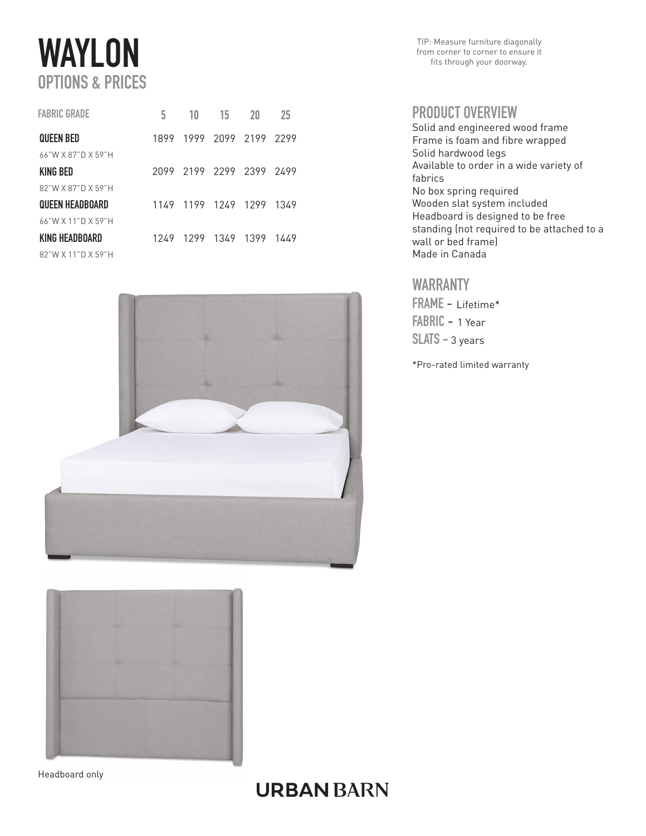# **WAYLON** OPTIONS & PRICES

| <b>FABRIC GRADE</b>    | 5    | 10                       | 15                  | 20 | 25   |
|------------------------|------|--------------------------|---------------------|----|------|
| <b>QUEEN BED</b>       | 1899 |                          | 1999 2099 2199 2299 |    |      |
| 66"W X 87"D X 59"H     |      |                          |                     |    |      |
| KING BED               |      | 2099 2199 2299 2399 2499 |                     |    |      |
| 82"W X 87"D X 59"H     |      |                          |                     |    |      |
| <b>QUEEN HEADBOARD</b> | 1149 |                          | 1199 1249 1299      |    | 1349 |
| 66"W X 11"D X 59"H     |      |                          |                     |    |      |
| KING HEADBOARD         | 1249 | 1299                     | 1349 1399           |    | 1449 |
| 82"W X 11"D X 59"H     |      |                          |                     |    |      |



TIP: Measure furniture diagonally from corner to corner to ensure it fits through your doorway.

#### PRODUCT OVERVIEW

Solid and engineered wood frame Frame is foam and fibre wrapped Solid hardwood legs Available to order in a wide variety of fabrics No box spring required Wooden slat system included Headboard is designed to be free standing (not required to be attached to a wall or bed frame) Made in Canada

### WARRANTY

FRAME - Lifetime\* FABRIC - 1 Year SLATS - 3 years

\*Pro-rated limited warranty



Headboard only

# **URBAN BARN**